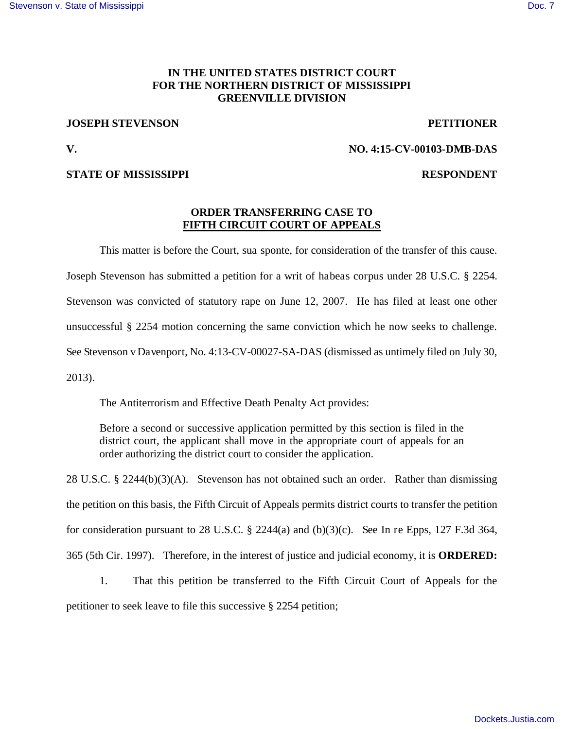## **IN THE UNITED STATES DISTRICT COURT FOR THE NORTHERN DISTRICT OF MISSISSIPPI GREENVILLE DIVISION**

### **JOSEPH STEVENSON PETITIONER**

### **V. NO. 4:15-CV-00103-DMB-DAS**

### **STATE OF MISSISSIPPI RESPONDENT**

# **ORDER TRANSFERRING CASE TO FIFTH CIRCUIT COURT OF APPEALS**

This matter is before the Court, sua sponte, for consideration of the transfer of this cause.

Joseph Stevenson has submitted a petition for a writ of habeas corpus under 28 U.S.C. § 2254.

Stevenson was convicted of statutory rape on June 12, 2007. He has filed at least one other

unsuccessful § 2254 motion concerning the same conviction which he now seeks to challenge.

See Stevenson v Davenport, No. 4:13-CV-00027-SA-DAS (dismissed as untimely filed on July 30,

2013).

The Antiterrorism and Effective Death Penalty Act provides:

Before a second or successive application permitted by this section is filed in the district court, the applicant shall move in the appropriate court of appeals for an order authorizing the district court to consider the application.

28 U.S.C. § 2244(b)(3)(A). Stevenson has not obtained such an order. Rather than dismissing the petition on this basis, the Fifth Circuit of Appeals permits district courts to transfer the petition for consideration pursuant to 28 U.S.C. § 2244(a) and (b)(3)(c). See In re Epps, 127 F.3d 364, 365 (5th Cir. 1997). Therefore, in the interest of justice and judicial economy, it is **ORDERED:**

1. That this petition be transferred to the Fifth Circuit Court of Appeals for the petitioner to seek leave to file this successive § 2254 petition;